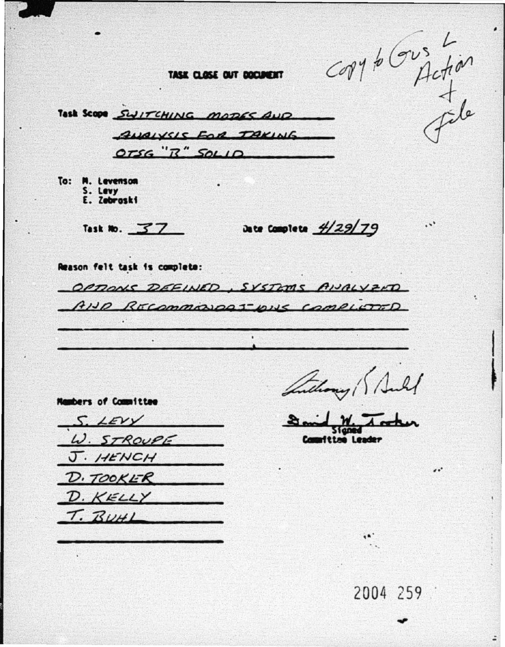corréction

 $\ddotsc$ 

 $\bullet$ 

TASK CLOSE OUT DOCUMENT

Task Scope SWITCHING MODES AND ANAIVELE FOR TAKING  $OTSG''R''SOLIO$ 

To: M. Levenson S. Levy<br>E. Zebroski

**Nambers of Committee** 

Task No.  $37$ 

Date Complete  $\frac{4}{29/79}$ 

Reason felt task is complete:

OPTIONS DEEINED, SYSTEMS ANALYZED AND RECOMMONDATIONS COMPLETED

Suchang ( Sull

S. LEVY W. STROUPE J. HENCH D. TOOKER  $D.KELLY$ T. BUHL

**ftime Leader** 

2004 259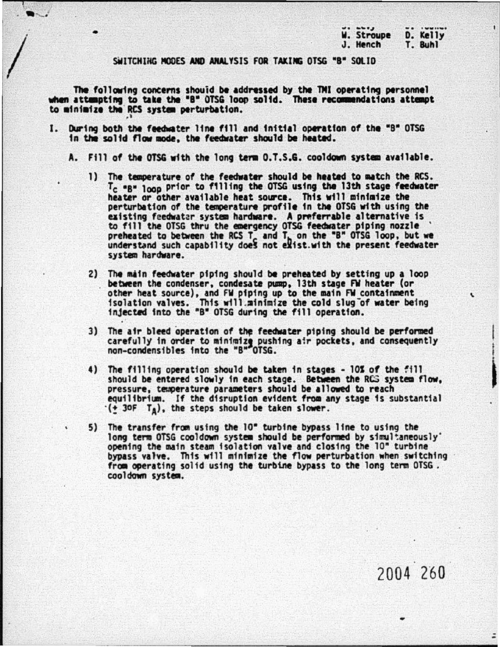|            | $  -$    |
|------------|----------|
| W. Stroupe | D. Kelly |
| J. Hench   | T. Buhl  |
|            |          |

SWITCHING MODES AND ANALYSIS FOR TAKING OTSG "B" SOLID

The following concerns should be addressed by the TMI operating personnel when attempting to take the "B" OTSG loop solid. These recommendations attempt to minimize the RCS system perturbation.

- I. During both the feedwater line fill and initial operation of the "B" OTSG in the solid flow mode, the feedwater should be heated.
	- A. Fill of the OTSG with the long term 0.7.5.G. cooldown system available.
		- 1) The temperature of the feedwater should be heated to match the RCS. T<sub>c</sub> "B" loop prior to filling the OTSG using the 13th stage feedwater heater or other available heat source. This will minimize the perturbation of the temperature profile in the OTSG with using the existing feedwater system hardware. A preferrable alternative is to fill the OTSG thru the emergency OTSG feedwater piping nozzle preheated to between the RCS T and T, on the "B" OTSG loop, but we understand such capability does not exist.with the present feedwater system hardware.
		- 2) The main feedwater piping should be preheated by setting up a loop between the condenser, condesate pump, 13th stage FW heater (or other heat source), and FW piping up to the main FW containment isolation valves. This will minimize the cold slug of water being<br>injected into the "B" OTSG during the fill operation.
		- 3) The air bleed operation of the feedwater piping should be performed carefully in order to minimize pushing air pockets, and consequently non-condensibles into the "B" OTSG.
		- 4) The filling operation should be taken in stages 10% of the fill should be entered slowly in each stage. Between the RCS system flow. pressure, temperature parameters should be allowed to reach equilibrium. If the disruption evident from any stage is substantial  $\cdot$ (+ 30F  $T_A$ ), the steps should be taken slower.
		- 5) The transfer from using the 10" turbine bypass line to using the long term OTSG cooldown system should be performed by simultaneously' opening the main steam isolation valve and closing the 10" turbine bypass valve. This will minimize the flow perturbation when switching from operating solid using the turbine bypass to the long term OTSG. cooldown system.

 $\bullet$ 

2004 260